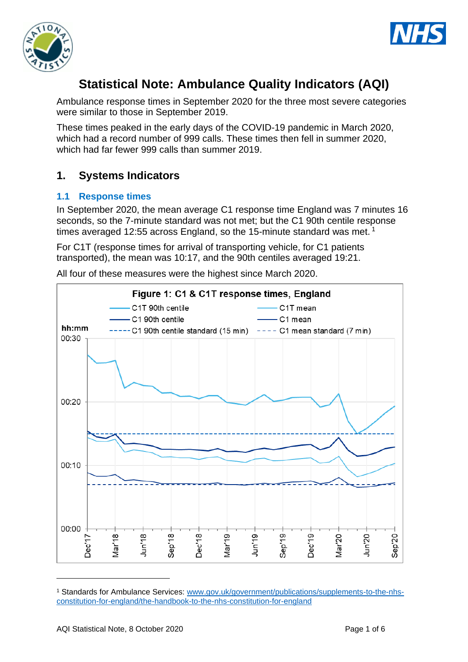



# **Statistical Note: Ambulance Quality Indicators (AQI)**

Ambulance response times in September 2020 for the three most severe categories were similar to those in September 2019.

These times peaked in the early days of the COVID-19 pandemic in March 2020, which had a record number of 999 calls. These times then fell in summer 2020, which had far fewer 999 calls than summer 2019.

# **1. Systems Indicators**

#### **1.1 Response times**

In September 2020, the mean average C1 response time England was 7 minutes 16 seconds, so the 7-minute standard was not met; but the C1 90th centile response times averaged 12:55 across England, so the 15-minute standard was met.<sup>1</sup>

For C1T (response times for arrival of transporting vehicle, for C1 patients transported), the mean was 10:17, and the 90th centiles averaged 19:21.

All four of these measures were the highest since March 2020.



<sup>1</sup> Standards for Ambulance Services: www.gov.uk/government/publications/supplements-to-the-nhsconstitution-for-england/the-handbook-to-the-nhs-constitution-for-england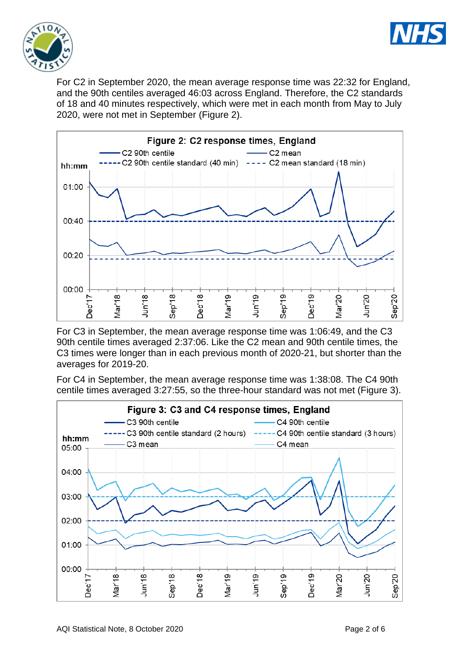



For C2 in September 2020, the mean average response time was 22:32 for England, and the 90th centiles averaged 46:03 across England. Therefore, the C2 standards of 18 and 40 minutes respectively, which were met in each month from May to July 2020, were not met in September (Figure 2).



For C3 in September, the mean average response time was 1:06:49, and the C3 90th centile times averaged 2:37:06. Like the C2 mean and 90th centile times, the C3 times were longer than in each previous month of 2020-21, but shorter than the averages for 2019-20.

For C4 in September, the mean average response time was 1:38:08. The C4 90th centile times averaged 3:27:55, so the three-hour standard was not met (Figure 3).

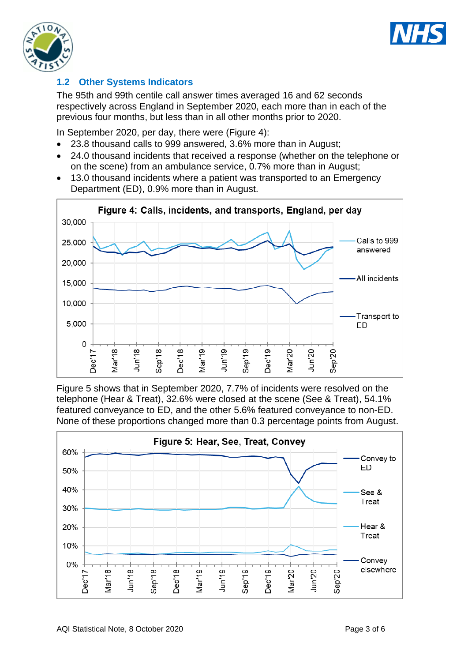



### **1.2 Other Systems Indicators**

The 95th and 99th centile call answer times averaged 16 and 62 seconds respectively across England in September 2020, each more than in each of the previous four months, but less than in all other months prior to 2020.

In September 2020, per day, there were (Figure 4):

- 23.8 thousand calls to 999 answered, 3.6% more than in August;
- 24.0 thousand incidents that received a response (whether on the telephone or on the scene) from an ambulance service, 0.7% more than in August;
- 13.0 thousand incidents where a patient was transported to an Emergency Department (ED), 0.9% more than in August.



Figure 5 shows that in September 2020, 7.7% of incidents were resolved on the telephone (Hear & Treat), 32.6% were closed at the scene (See & Treat), 54.1% featured conveyance to ED, and the other 5.6% featured conveyance to non-ED. None of these proportions changed more than 0.3 percentage points from August.

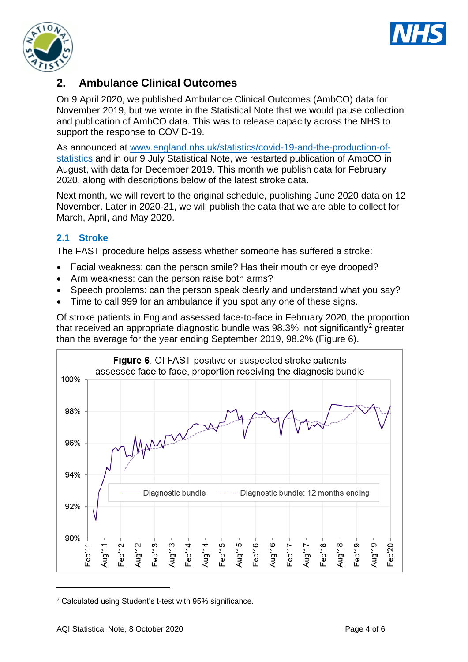



# **2. Ambulance Clinical Outcomes**

On 9 April 2020, we published Ambulance Clinical Outcomes (AmbCO) data for November 2019, but we wrote in the Statistical Note that we would pause collection and publication of AmbCO data. This was to release capacity across the NHS to support the response to COVID-19.

As announced at [www.england.nhs.uk/statistics/covid-19-and-the-production-of](https://www.england.nhs.uk/statistics/covid-19-and-the-production-of-statistics/)[statistics](https://www.england.nhs.uk/statistics/covid-19-and-the-production-of-statistics/) and in our 9 July Statistical Note, we restarted publication of AmbCO in August, with data for December 2019. This month we publish data for February 2020, along with descriptions below of the latest stroke data.

Next month, we will revert to the original schedule, publishing June 2020 data on 12 November. Later in 2020-21, we will publish the data that we are able to collect for March, April, and May 2020.

#### **2.1 Stroke**

The FAST procedure helps assess whether someone has suffered a stroke:

- Facial weakness: can the person smile? Has their mouth or eye drooped?
- Arm weakness: can the person raise both arms?
- Speech problems: can the person speak clearly and understand what you say?
- Time to call 999 for an ambulance if you spot any one of these signs.

Of stroke patients in England assessed face-to-face in February 2020, the proportion that received an appropriate diagnostic bundle was  $98.3\%$ , not significantly<sup>2</sup> greater than the average for the year ending September 2019, 98.2% (Figure 6).



<sup>2</sup> Calculated using Student's t-test with 95% significance.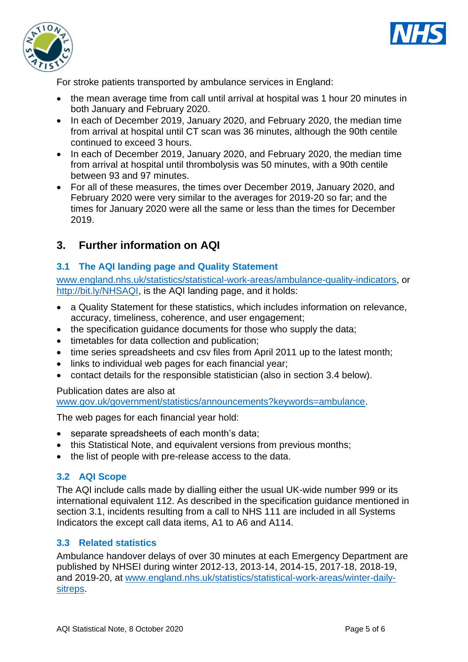



For stroke patients transported by ambulance services in England:

- the mean average time from call until arrival at hospital was 1 hour 20 minutes in both January and February 2020.
- In each of December 2019, January 2020, and February 2020, the median time from arrival at hospital until CT scan was 36 minutes, although the 90th centile continued to exceed 3 hours.
- In each of December 2019, January 2020, and February 2020, the median time from arrival at hospital until thrombolysis was 50 minutes, with a 90th centile between 93 and 97 minutes.
- For all of these measures, the times over December 2019, January 2020, and February 2020 were very similar to the averages for 2019-20 so far; and the times for January 2020 were all the same or less than the times for December 2019.

# **3. Further information on AQI**

### **3.1 The AQI landing page and Quality Statement**

[www.england.nhs.uk/statistics/statistical-work-areas/ambulance-quality-indicators,](http://www.england.nhs.uk/statistics/statistical-work-areas/ambulance-quality-indicators) or [http://bit.ly/NHSAQI,](http://bit.ly/NHSAQI) is the AQI landing page, and it holds:

- a Quality Statement for these statistics, which includes information on relevance, accuracy, timeliness, coherence, and user engagement;
- the specification quidance documents for those who supply the data;
- timetables for data collection and publication;
- time series spreadsheets and csv files from April 2011 up to the latest month;
- links to individual web pages for each financial year;
- contact details for the responsible statistician (also in section 3.4 below).

#### Publication dates are also at

[www.gov.uk/government/statistics/announcements?keywords=ambulance.](http://www.gov.uk/government/statistics/announcements?keywords=ambulance)

The web pages for each financial year hold:

- separate spreadsheets of each month's data;
- this Statistical Note, and equivalent versions from previous months:
- the list of people with pre-release access to the data.

#### **3.2 AQI Scope**

The AQI include calls made by dialling either the usual UK-wide number 999 or its international equivalent 112. As described in the specification guidance mentioned in section 3.1, incidents resulting from a call to NHS 111 are included in all Systems Indicators the except call data items, A1 to A6 and A114.

### **3.3 Related statistics**

Ambulance handover delays of over 30 minutes at each Emergency Department are published by NHSEI during winter 2012-13, 2013-14, 2014-15, 2017-18, 2018-19, and 2019-20, at [www.england.nhs.uk/statistics/statistical-work-areas/winter-daily](http://www.england.nhs.uk/statistics/statistical-work-areas/winter-daily-sitreps)[sitreps.](http://www.england.nhs.uk/statistics/statistical-work-areas/winter-daily-sitreps)